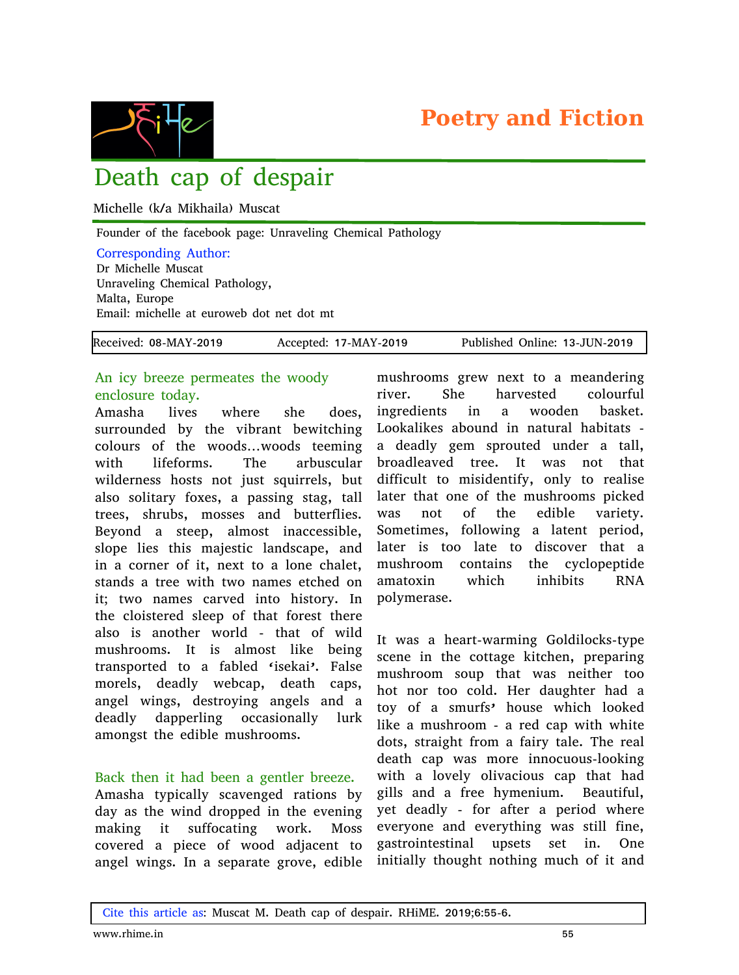



# Death cap of despair

Michelle (k/a Mikhaila) Muscat

Founder of the facebook page: Unraveling Chemical Pathology

#### Corresponding Author:

Dr Michelle Muscat Unraveling Chemical Pathology, Malta, Europe Email: michelle at euroweb dot net dot mt

| Received: 08-MAY-2019 | Accepted: 17-MAY-2019 | Published Online: 13-JUN-2019 |
|-----------------------|-----------------------|-------------------------------|
|-----------------------|-----------------------|-------------------------------|

## An icy breeze permeates the woody enclosure today.

Amasha lives where she does, surrounded by the vibrant bewitching colours of the woods…woods teeming with lifeforms. The arbuscular wilderness hosts not just squirrels, but also solitary foxes, a passing stag, tall trees, shrubs, mosses and butterflies. Beyond a steep, almost inaccessible, slope lies this majestic landscape, and in a corner of it, next to a lone chalet, stands a tree with two names etched on it; two names carved into history. In the cloistered sleep of that forest there also is another world - that of wild mushrooms. It is almost like being transported to a fabled 'isekai'. False morels, deadly webcap, death caps, angel wings, destroying angels and a deadly dapperling occasionally lurk amongst the edible mushrooms.

#### Back then it had been a gentler breeze.

Amasha typically scavenged rations by day as the wind dropped in the evening making it suffocating work. Moss covered a piece of wood adjacent to angel wings. In a separate grove, edible

mushrooms grew next to a meandering river. She harvested colourful ingredients in a wooden basket. Lookalikes abound in natural habitats a deadly gem sprouted under a tall, broadleaved tree. It was not that difficult to misidentify, only to realise later that one of the mushrooms picked was not of the edible variety. Sometimes, following a latent period, later is too late to discover that a mushroom contains the cyclopeptide amatoxin which inhibits RNA polymerase.

It was a heart-warming Goldilocks-type scene in the cottage kitchen, preparing mushroom soup that was neither too hot nor too cold. Her daughter had a toy of a smurfs' house which looked like a mushroom - a red cap with white dots, straight from a fairy tale. The real death cap was more innocuous-looking with a lovely olivacious cap that had gills and a free hymenium. Beautiful, yet deadly - for after a period where everyone and everything was still fine, gastrointestinal upsets set in. One initially thought nothing much of it and

Cite this article as: Muscat M. Death cap of despair. RHiME. 2019;6:55-6.